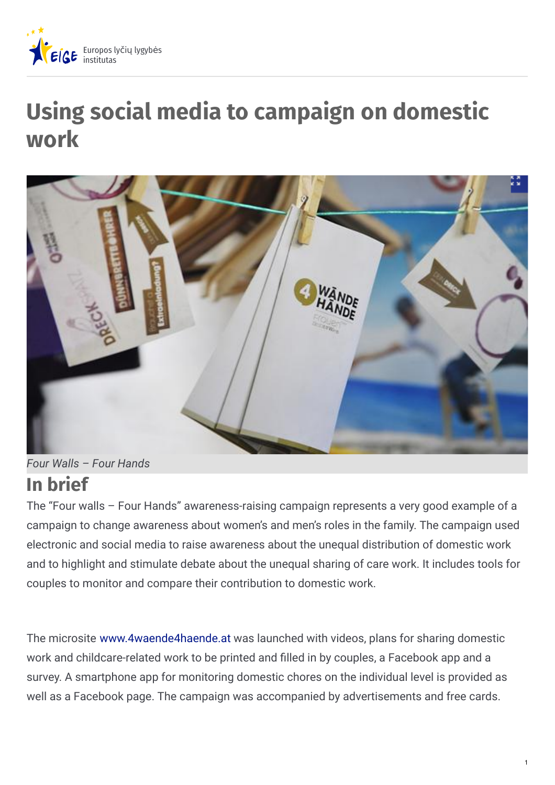

# **Using social media to campaign on domestic work**



*Four Walls – Four Hands*

## **In brief**

The "Four walls – Four Hands" awareness-raising campaign represents a very good example of a campaign to change awareness about women's and men's roles in the family. The campaign used electronic and social media to raise awareness about the unequal distribution of domestic work and to highlight and stimulate debate about the unequal sharing of care work. It includes tools for couples to monitor and compare their contribution to domestic work.

The microsite [www.4waende4haende.at](http://www.4waende4haende.at) was launched with videos, plans for sharing domestic work and childcare-related work to be printed and filled in by couples, a Facebook app and a survey. A smartphone app for monitoring domestic chores on the individual level is provided as well as a Facebook page. The campaign was accompanied by advertisements and free cards.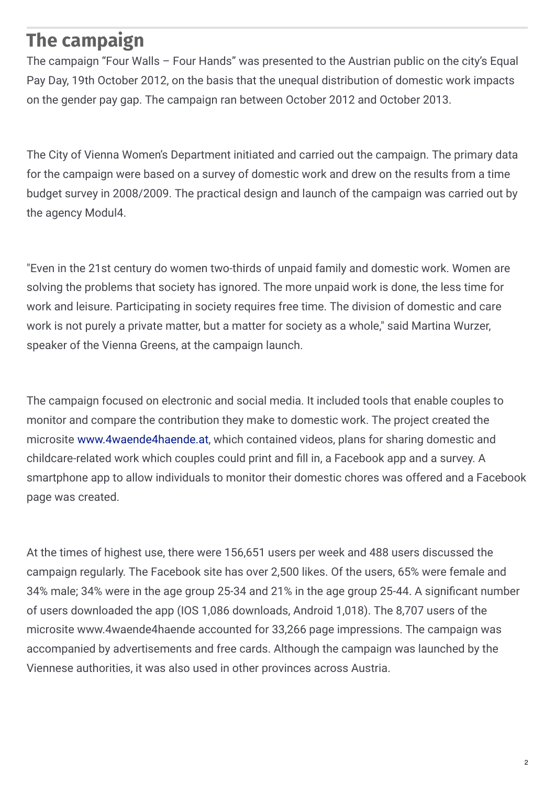## **The campaign**

The campaign "Four Walls – Four Hands" was presented to the Austrian public on the city's Equal Pay Day, 19th October 2012, on the basis that the unequal distribution of domestic work impacts on the gender pay gap. The campaign ran between October 2012 and October 2013.

The City of Vienna Women's Department initiated and carried out the campaign. The primary data for the campaign were based on a survey of domestic work and drew on the results from a time budget survey in 2008/2009. The practical design and launch of the campaign was carried out by the agency Modul4.

"Even in the 21st century do women two-thirds of unpaid family and domestic work. Women are solving the problems that society has ignored. The more unpaid work is done, the less time for work and leisure. Participating in society requires free time. The division of domestic and care work is not purely a private matter, but a matter for society as a whole," said Martina Wurzer, speaker of the Vienna Greens, at the campaign launch.

The campaign focused on electronic and social media. It included tools that enable couples to monitor and compare the contribution they make to domestic work. The project created the microsite [www.4waende4haende.at](http://www.4waende4haende.at), which contained videos, plans for sharing domestic and childcare-related work which couples could print and fill in, a Facebook app and a survey. A smartphone app to allow individuals to monitor their domestic chores was offered and a Facebook page was created.

At the times of highest use, there were 156,651 users per week and 488 users discussed the campaign regularly. The Facebook site has over 2,500 likes. Of the users, 65% were female and 34% male; 34% were in the age group 25-34 and 21% in the age group 25-44. A significant number of users downloaded the app (IOS 1,086 downloads, Android 1,018). The 8,707 users of the microsite www.4waende4haende accounted for 33,266 page impressions. The campaign was accompanied by advertisements and free cards. Although the campaign was launched by the Viennese authorities, it was also used in other provinces across Austria.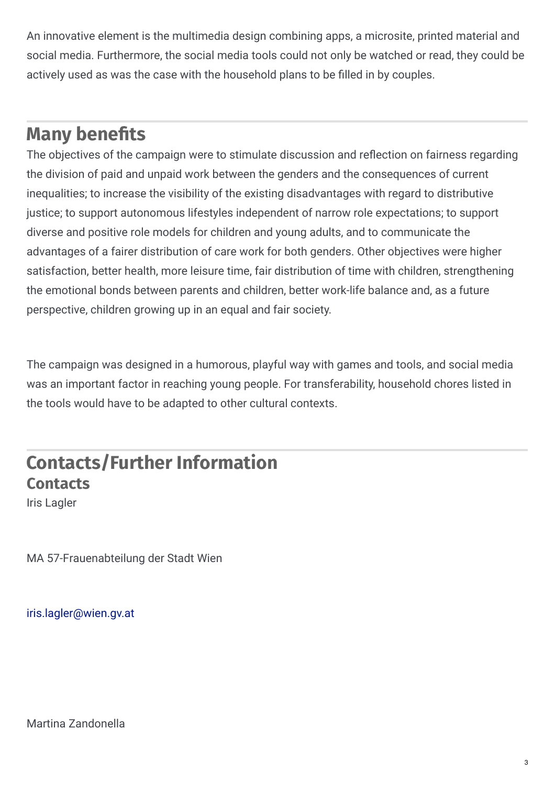An innovative element is the multimedia design combining apps, a microsite, printed material and social media. Furthermore, the social media tools could not only be watched or read, they could be actively used as was the case with the household plans to be filled in by couples.

### **Many** benefits

The objectives of the campaign were to stimulate discussion and reflection on fairness regarding the division of paid and unpaid work between the genders and the consequences of current inequalities; to increase the visibility of the existing disadvantages with regard to distributive justice; to support autonomous lifestyles independent of narrow role expectations; to support diverse and positive role models for children and young adults, and to communicate the advantages of a fairer distribution of care work for both genders. Other objectives were higher satisfaction, better health, more leisure time, fair distribution of time with children, strengthening the emotional bonds between parents and children, better work-life balance and, as a future perspective, children growing up in an equal and fair society.

The campaign was designed in a humorous, playful way with games and tools, and social media was an important factor in reaching young people. For transferability, household chores listed in the tools would have to be adapted to other cultural contexts.

#### **Contacts/Further Information Contacts**

Iris Lagler

MA 57-Frauenabteilung der Stadt Wien

[iris.lagler@wien.gv.at](mailto:iris.lagler@wien.gv.at)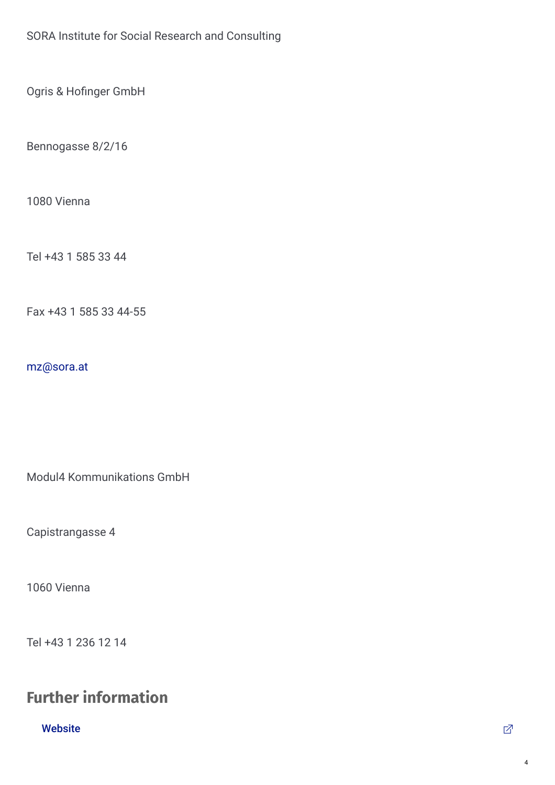SORA Institute for Social Research and Consulting

Ogris & Hofinger GmbH

Bennogasse 8/2/16

1080 Vienna

Tel +43 1 585 33 44

Fax +43 1 585 33 44-55

[mz@sora.at](mailto:mz@sora.at)

Modul4 Kommunikations GmbH

Capistrangasse 4

1060 Vienna

Tel +43 1 236 12 14

## **Further information**

[Website](http://www.4waende4haende.at/)  $\Box$ 

4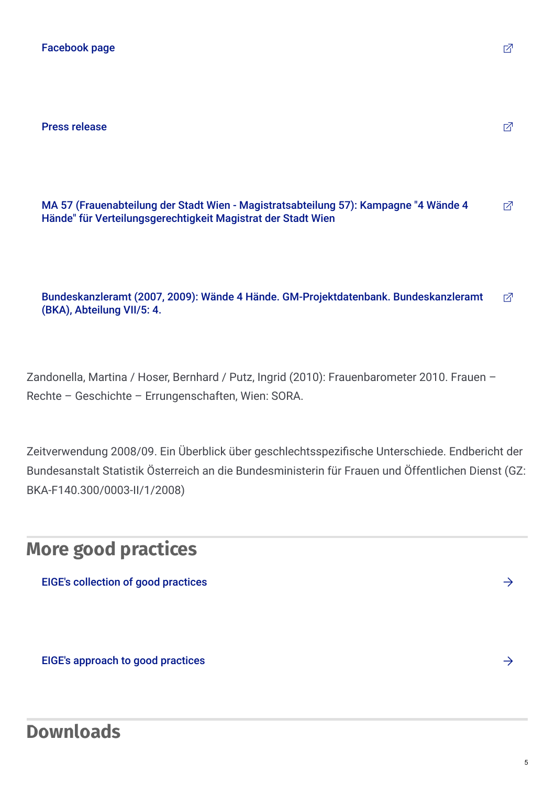Press [release](http://www.wien.gv.at/rk/msg/2012/10/19012.html)

MA 57 (Frauenabteilung der Stadt Wien - Magistratsabteilung 57): Kampagne "4 Wände 4 Hände" für [Verteilungsgerechtigkeit](http://www.wien.gv.at/menschen/frauen/themen/arbeitswelt/4waende-4haende/) Magistrat der Stadt Wien 内

Bundeskanzleramt (2007, 2009): Wände 4 Hände. [GM-Projektdatenbank.](http://www.genderprojekte.bka.gv.at/Details.aspx?p=99) Bundeskanzleramt (BKA), Abteilung VII/5: 4. 内

Zandonella, Martina / Hoser, Bernhard / Putz, Ingrid (2010): Frauenbarometer 2010. Frauen – Rechte – Geschichte – Errungenschaften, Wien: SORA.

Zeitverwendung 2008/09. Ein Überblick über geschlechtsspezifische Unterschiede. Endbericht der Bundesanstalt Statistik Österreich an die Bundesministerin für Frauen und Öffentlichen Dienst (GZ: BKA-F140.300/0003-II/1/2008)

## **More good practices**

EIGE's [collection](http://eige.europa.eu/gender-mainstreaming/good-practices) of good practices and the set of the set of the set of the set of the set of the set of the set of the set of the set of the set of the set of the set of the set of the set of the set of the set of the se

EIGE's [approach](http://eige.europa.eu/gender-mainstreaming/good-practices/eige-approach) to good practices  $\rightarrow$